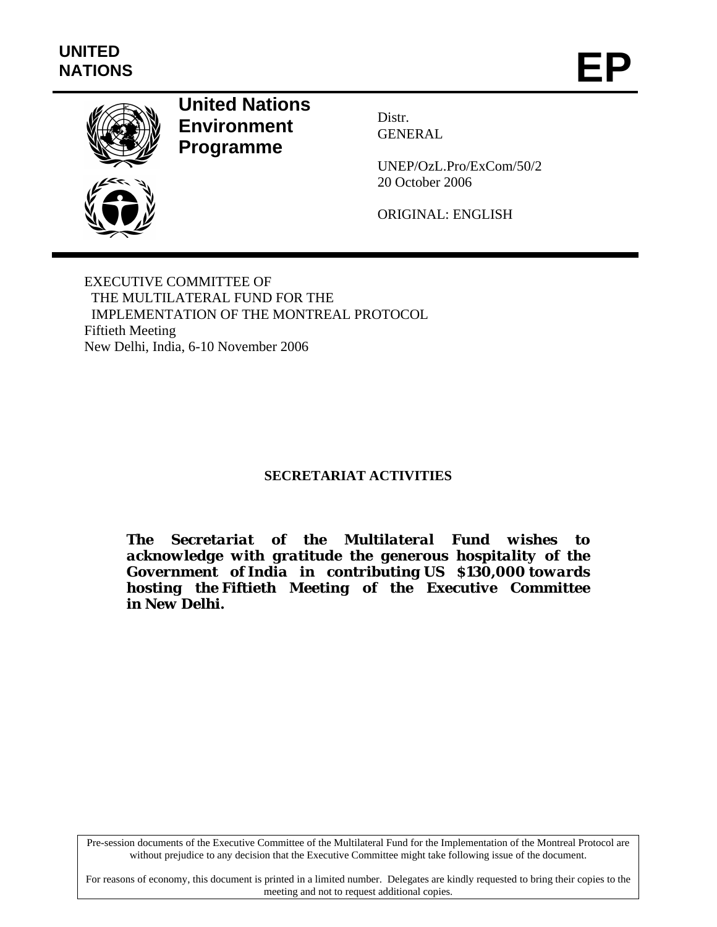

# **United Nations Environment Programme**

Distr. GENERAL

UNEP/OzL.Pro/ExCom/50/2 20 October 2006

ORIGINAL: ENGLISH

EXECUTIVE COMMITTEE OF THE MULTILATERAL FUND FOR THE IMPLEMENTATION OF THE MONTREAL PROTOCOL Fiftieth Meeting New Delhi, India, 6-10 November 2006

## **SECRETARIAT ACTIVITIES**

*The Secretariat of the Multilateral Fund wishes to acknowledge with gratitude the generous hospitality of the Government of India in contributing US \$130,000 towards hosting the Fiftieth Meeting of the Executive Committee in New Delhi.* 

Pre-session documents of the Executive Committee of the Multilateral Fund for the Implementation of the Montreal Protocol are without prejudice to any decision that the Executive Committee might take following issue of the document.

For reasons of economy, this document is printed in a limited number. Delegates are kindly requested to bring their copies to the meeting and not to request additional copies.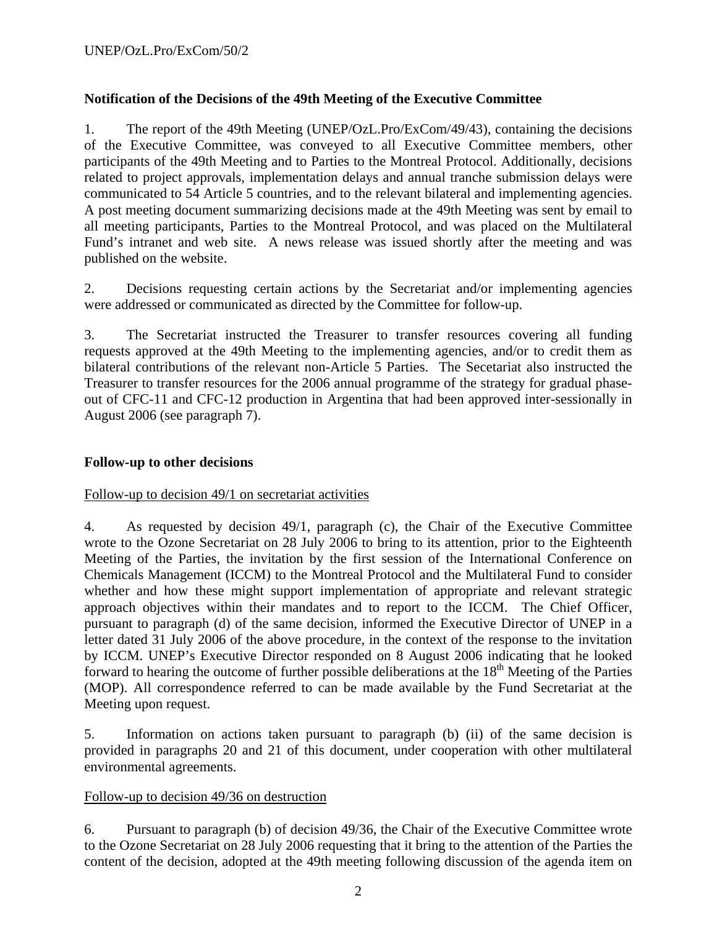## **Notification of the Decisions of the 49th Meeting of the Executive Committee**

1. The report of the 49th Meeting (UNEP/OzL.Pro/ExCom/49/43), containing the decisions of the Executive Committee, was conveyed to all Executive Committee members, other participants of the 49th Meeting and to Parties to the Montreal Protocol. Additionally, decisions related to project approvals, implementation delays and annual tranche submission delays were communicated to 54 Article 5 countries, and to the relevant bilateral and implementing agencies. A post meeting document summarizing decisions made at the 49th Meeting was sent by email to all meeting participants, Parties to the Montreal Protocol, and was placed on the Multilateral Fund's intranet and web site. A news release was issued shortly after the meeting and was published on the website.

2. Decisions requesting certain actions by the Secretariat and/or implementing agencies were addressed or communicated as directed by the Committee for follow-up.

3. The Secretariat instructed the Treasurer to transfer resources covering all funding requests approved at the 49th Meeting to the implementing agencies, and/or to credit them as bilateral contributions of the relevant non-Article 5 Parties. The Secetariat also instructed the Treasurer to transfer resources for the 2006 annual programme of the strategy for gradual phaseout of CFC-11 and CFC-12 production in Argentina that had been approved inter-sessionally in August 2006 (see paragraph 7).

## **Follow-up to other decisions**

## Follow-up to decision 49/1 on secretariat activities

4. As requested by decision 49/1, paragraph (c), the Chair of the Executive Committee wrote to the Ozone Secretariat on 28 July 2006 to bring to its attention, prior to the Eighteenth Meeting of the Parties, the invitation by the first session of the International Conference on Chemicals Management (ICCM) to the Montreal Protocol and the Multilateral Fund to consider whether and how these might support implementation of appropriate and relevant strategic approach objectives within their mandates and to report to the ICCM. The Chief Officer, pursuant to paragraph (d) of the same decision, informed the Executive Director of UNEP in a letter dated 31 July 2006 of the above procedure, in the context of the response to the invitation by ICCM. UNEP's Executive Director responded on 8 August 2006 indicating that he looked forward to hearing the outcome of further possible deliberations at the  $18<sup>th</sup>$  Meeting of the Parties (MOP). All correspondence referred to can be made available by the Fund Secretariat at the Meeting upon request.

5. Information on actions taken pursuant to paragraph (b) (ii) of the same decision is provided in paragraphs 20 and 21 of this document, under cooperation with other multilateral environmental agreements.

#### Follow-up to decision 49/36 on destruction

6. Pursuant to paragraph (b) of decision 49/36, the Chair of the Executive Committee wrote to the Ozone Secretariat on 28 July 2006 requesting that it bring to the attention of the Parties the content of the decision, adopted at the 49th meeting following discussion of the agenda item on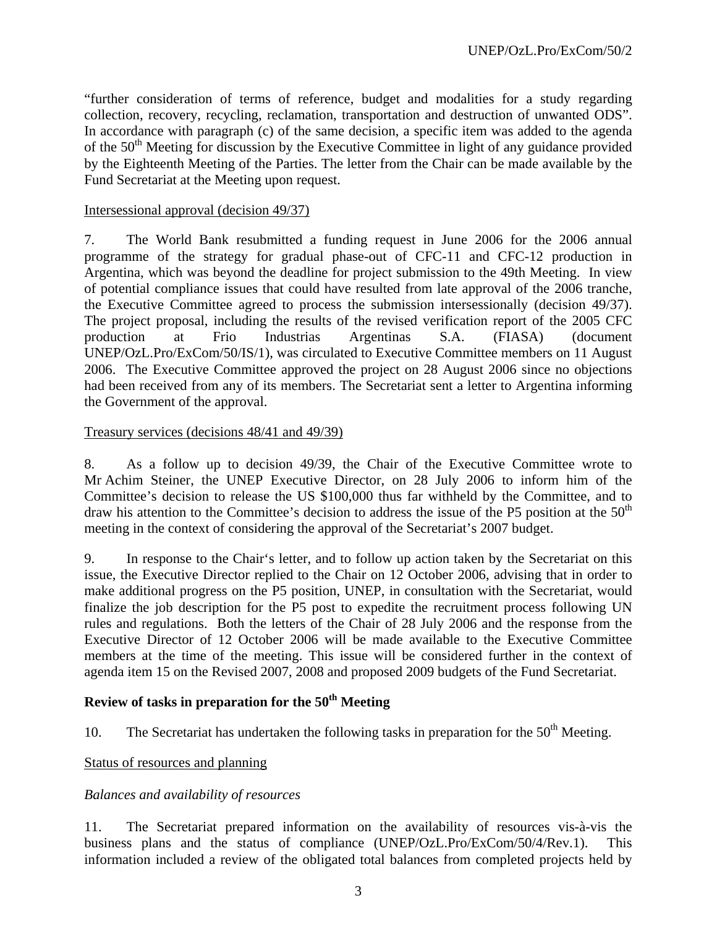"further consideration of terms of reference, budget and modalities for a study regarding collection, recovery, recycling, reclamation, transportation and destruction of unwanted ODS". In accordance with paragraph (c) of the same decision, a specific item was added to the agenda of the  $50<sup>th</sup>$  Meeting for discussion by the Executive Committee in light of any guidance provided by the Eighteenth Meeting of the Parties. The letter from the Chair can be made available by the Fund Secretariat at the Meeting upon request.

#### Intersessional approval (decision 49/37)

7. The World Bank resubmitted a funding request in June 2006 for the 2006 annual programme of the strategy for gradual phase-out of CFC-11 and CFC-12 production in Argentina, which was beyond the deadline for project submission to the 49th Meeting. In view of potential compliance issues that could have resulted from late approval of the 2006 tranche, the Executive Committee agreed to process the submission intersessionally (decision 49/37). The project proposal, including the results of the revised verification report of the 2005 CFC production at Frio Industrias Argentinas S.A. (FIASA) (document UNEP/OzL.Pro/ExCom/50/IS/1), was circulated to Executive Committee members on 11 August 2006. The Executive Committee approved the project on 28 August 2006 since no objections had been received from any of its members. The Secretariat sent a letter to Argentina informing the Government of the approval.

#### Treasury services (decisions 48/41 and 49/39)

8. As a follow up to decision 49/39, the Chair of the Executive Committee wrote to Mr Achim Steiner, the UNEP Executive Director, on 28 July 2006 to inform him of the Committee's decision to release the US \$100,000 thus far withheld by the Committee, and to draw his attention to the Committee's decision to address the issue of the P5 position at the  $50<sup>th</sup>$ meeting in the context of considering the approval of the Secretariat's 2007 budget.

9. In response to the Chair's letter, and to follow up action taken by the Secretariat on this issue, the Executive Director replied to the Chair on 12 October 2006, advising that in order to make additional progress on the P5 position, UNEP, in consultation with the Secretariat, would finalize the job description for the P5 post to expedite the recruitment process following UN rules and regulations. Both the letters of the Chair of 28 July 2006 and the response from the Executive Director of 12 October 2006 will be made available to the Executive Committee members at the time of the meeting. This issue will be considered further in the context of agenda item 15 on the Revised 2007, 2008 and proposed 2009 budgets of the Fund Secretariat.

# **Review of tasks in preparation for the 50<sup>th</sup> Meeting**

10. The Secretariat has undertaken the following tasks in preparation for the  $50<sup>th</sup>$  Meeting.

#### Status of resources and planning

#### *Balances and availability of resources*

11. The Secretariat prepared information on the availability of resources vis-à-vis the business plans and the status of compliance (UNEP/OzL.Pro/ExCom/50/4/Rev.1). This information included a review of the obligated total balances from completed projects held by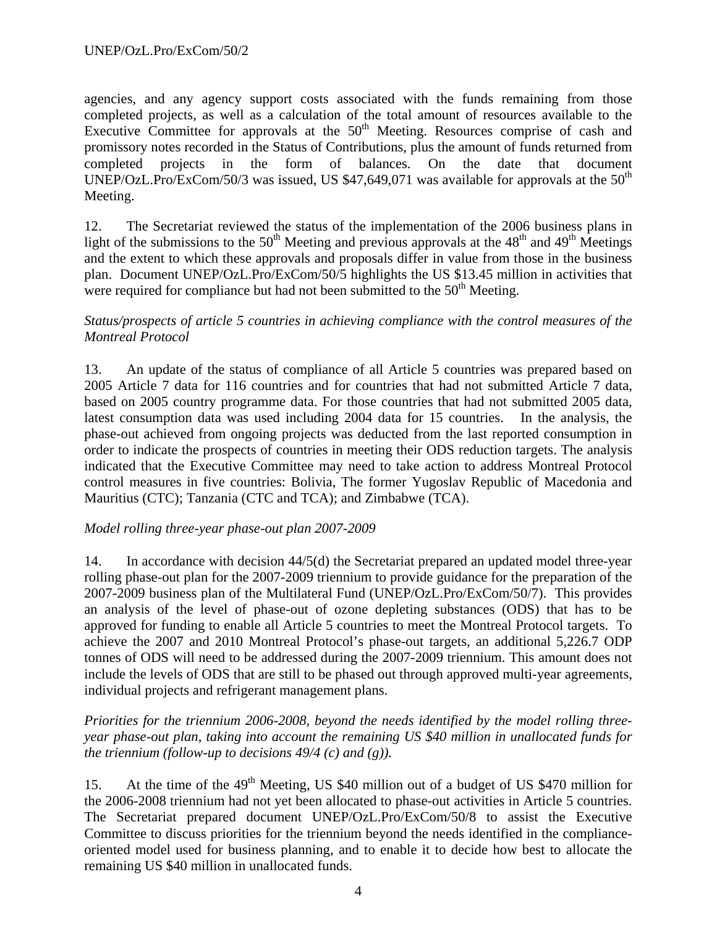agencies, and any agency support costs associated with the funds remaining from those completed projects, as well as a calculation of the total amount of resources available to the Executive Committee for approvals at the  $50<sup>th</sup>$  Meeting. Resources comprise of cash and promissory notes recorded in the Status of Contributions, plus the amount of funds returned from completed projects in the form of balances. On the date that document UNEP/OzL.Pro/ExCom/50/3 was issued, US  $$47,649,071$  was available for approvals at the 50<sup>th</sup> Meeting.

12. The Secretariat reviewed the status of the implementation of the 2006 business plans in light of the submissions to the 50<sup>th</sup> Meeting and previous approvals at the 48<sup>th</sup> and 49<sup>th</sup> Meetings and the extent to which these approvals and proposals differ in value from those in the business plan. Document UNEP/OzL.Pro/ExCom/50/5 highlights the US \$13.45 million in activities that were required for compliance but had not been submitted to the  $50<sup>th</sup>$  Meeting.

## *Status/prospects of article 5 countries in achieving compliance with the control measures of the Montreal Protocol*

13. An update of the status of compliance of all Article 5 countries was prepared based on 2005 Article 7 data for 116 countries and for countries that had not submitted Article 7 data, based on 2005 country programme data. For those countries that had not submitted 2005 data, latest consumption data was used including 2004 data for 15 countries. In the analysis, the phase-out achieved from ongoing projects was deducted from the last reported consumption in order to indicate the prospects of countries in meeting their ODS reduction targets. The analysis indicated that the Executive Committee may need to take action to address Montreal Protocol control measures in five countries: Bolivia, The former Yugoslav Republic of Macedonia and Mauritius (CTC); Tanzania (CTC and TCA); and Zimbabwe (TCA).

## *Model rolling three-year phase-out plan 2007-2009*

14. In accordance with decision 44/5(d) the Secretariat prepared an updated model three-year rolling phase-out plan for the 2007-2009 triennium to provide guidance for the preparation of the 2007-2009 business plan of the Multilateral Fund (UNEP/OzL.Pro/ExCom/50/7). This provides an analysis of the level of phase-out of ozone depleting substances (ODS) that has to be approved for funding to enable all Article 5 countries to meet the Montreal Protocol targets. To achieve the 2007 and 2010 Montreal Protocol's phase-out targets, an additional 5,226.7 ODP tonnes of ODS will need to be addressed during the 2007-2009 triennium. This amount does not include the levels of ODS that are still to be phased out through approved multi-year agreements, individual projects and refrigerant management plans.

## *Priorities for the triennium 2006-2008, beyond the needs identified by the model rolling threeyear phase-out plan, taking into account the remaining US \$40 million in unallocated funds for the triennium (follow-up to decisions 49/4 (c) and (g)).*

15. At the time of the 49<sup>th</sup> Meeting, US \$40 million out of a budget of US \$470 million for the 2006-2008 triennium had not yet been allocated to phase-out activities in Article 5 countries. The Secretariat prepared document UNEP/OzL.Pro/ExCom/50/8 to assist the Executive Committee to discuss priorities for the triennium beyond the needs identified in the complianceoriented model used for business planning, and to enable it to decide how best to allocate the remaining US \$40 million in unallocated funds.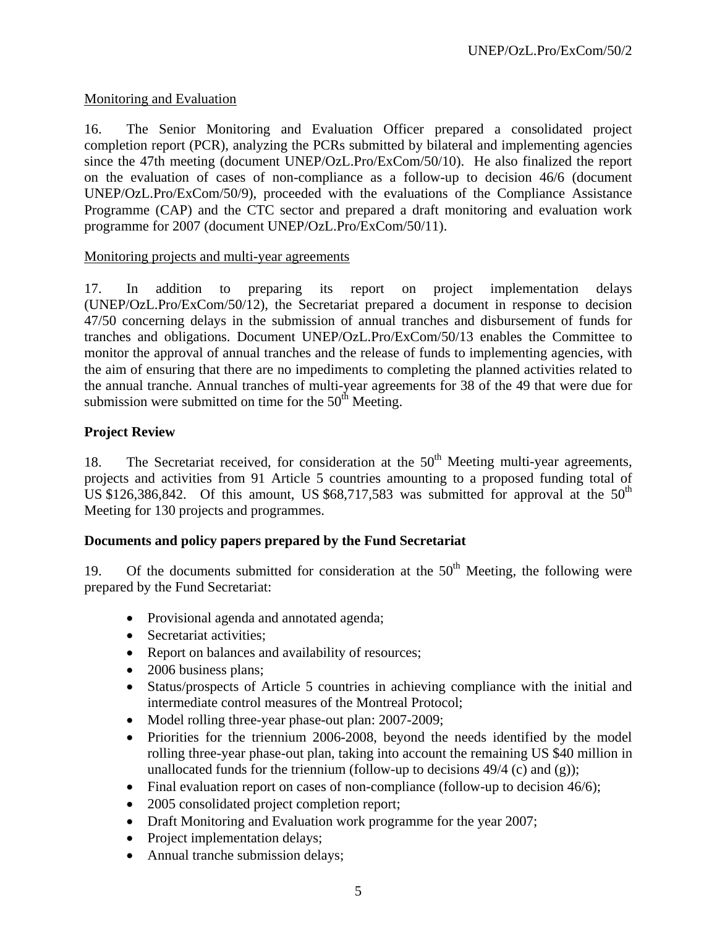## Monitoring and Evaluation

16. The Senior Monitoring and Evaluation Officer prepared a consolidated project completion report (PCR), analyzing the PCRs submitted by bilateral and implementing agencies since the 47th meeting (document UNEP/OzL.Pro/ExCom/50/10). He also finalized the report on the evaluation of cases of non-compliance as a follow-up to decision 46/6 (document UNEP/OzL.Pro/ExCom/50/9), proceeded with the evaluations of the Compliance Assistance Programme (CAP) and the CTC sector and prepared a draft monitoring and evaluation work programme for 2007 (document UNEP/OzL.Pro/ExCom/50/11).

## Monitoring projects and multi-year agreements

17. In addition to preparing its report on project implementation delays (UNEP/OzL.Pro/ExCom/50/12), the Secretariat prepared a document in response to decision 47/50 concerning delays in the submission of annual tranches and disbursement of funds for tranches and obligations. Document UNEP/OzL.Pro/ExCom/50/13 enables the Committee to monitor the approval of annual tranches and the release of funds to implementing agencies, with the aim of ensuring that there are no impediments to completing the planned activities related to the annual tranche. Annual tranches of multi-year agreements for 38 of the 49 that were due for submission were submitted on time for the  $50<sup>th</sup>$  Meeting.

## **Project Review**

18. The Secretariat received, for consideration at the  $50<sup>th</sup>$  Meeting multi-year agreements, projects and activities from 91 Article 5 countries amounting to a proposed funding total of US \$126,386,842. Of this amount, US \$68,717,583 was submitted for approval at the  $50<sup>th</sup>$ Meeting for 130 projects and programmes.

## **Documents and policy papers prepared by the Fund Secretariat**

19. Of the documents submitted for consideration at the  $50<sup>th</sup>$  Meeting, the following were prepared by the Fund Secretariat:

- Provisional agenda and annotated agenda;
- Secretariat activities;
- Report on balances and availability of resources;
- 2006 business plans;
- Status/prospects of Article 5 countries in achieving compliance with the initial and intermediate control measures of the Montreal Protocol;
- Model rolling three-year phase-out plan: 2007-2009;
- Priorities for the triennium 2006-2008, beyond the needs identified by the model rolling three-year phase-out plan, taking into account the remaining US \$40 million in unallocated funds for the triennium (follow-up to decisions  $49/4$  (c) and (g));
- Final evaluation report on cases of non-compliance (follow-up to decision 46/6);
- 2005 consolidated project completion report;
- Draft Monitoring and Evaluation work programme for the year 2007;
- Project implementation delays;
- Annual tranche submission delays;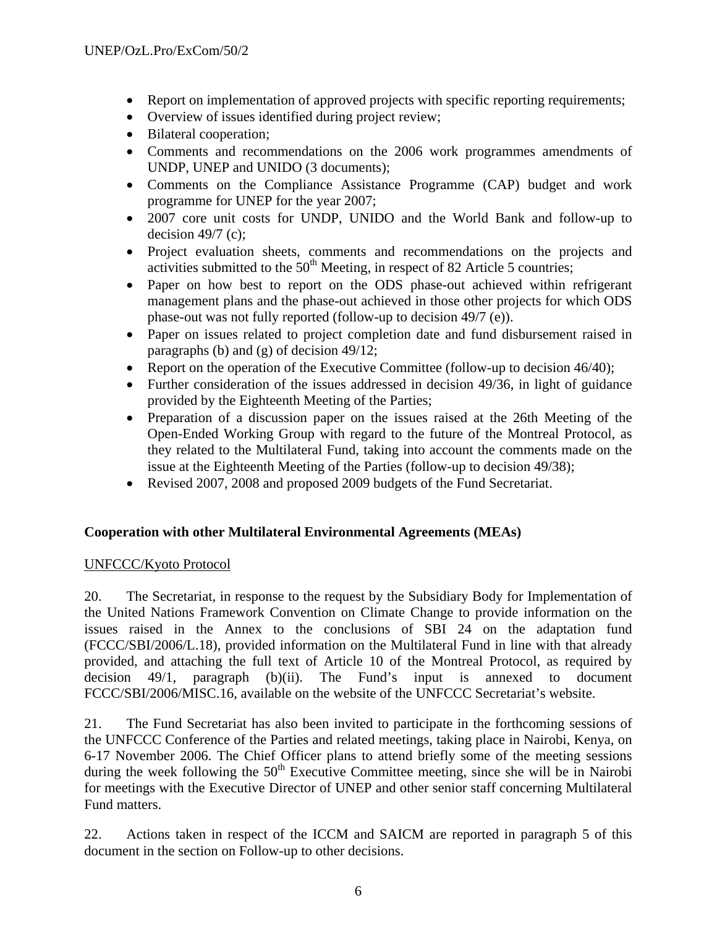- Report on implementation of approved projects with specific reporting requirements;
- Overview of issues identified during project review;
- Bilateral cooperation;
- Comments and recommendations on the 2006 work programmes amendments of UNDP, UNEP and UNIDO (3 documents);
- Comments on the Compliance Assistance Programme (CAP) budget and work programme for UNEP for the year 2007;
- 2007 core unit costs for UNDP, UNIDO and the World Bank and follow-up to decision  $49/7$  (c):
- Project evaluation sheets, comments and recommendations on the projects and activities submitted to the  $50<sup>th</sup>$  Meeting, in respect of 82 Article 5 countries;
- Paper on how best to report on the ODS phase-out achieved within refrigerant management plans and the phase-out achieved in those other projects for which ODS phase-out was not fully reported (follow-up to decision 49/7 (e)).
- Paper on issues related to project completion date and fund disbursement raised in paragraphs (b) and (g) of decision 49/12;
- Report on the operation of the Executive Committee (follow-up to decision 46/40);
- Further consideration of the issues addressed in decision 49/36, in light of guidance provided by the Eighteenth Meeting of the Parties;
- Preparation of a discussion paper on the issues raised at the 26th Meeting of the Open-Ended Working Group with regard to the future of the Montreal Protocol, as they related to the Multilateral Fund, taking into account the comments made on the issue at the Eighteenth Meeting of the Parties (follow-up to decision 49/38);
- Revised 2007, 2008 and proposed 2009 budgets of the Fund Secretariat.

## **Cooperation with other Multilateral Environmental Agreements (MEAs)**

## UNFCCC/Kyoto Protocol

20. The Secretariat, in response to the request by the Subsidiary Body for Implementation of the United Nations Framework Convention on Climate Change to provide information on the issues raised in the Annex to the conclusions of SBI 24 on the adaptation fund (FCCC/SBI/2006/L.18), provided information on the Multilateral Fund in line with that already provided, and attaching the full text of Article 10 of the Montreal Protocol, as required by decision 49/1, paragraph (b)(ii). The Fund's input is annexed to document FCCC/SBI/2006/MISC.16, available on the website of the UNFCCC Secretariat's website.

21. The Fund Secretariat has also been invited to participate in the forthcoming sessions of the UNFCCC Conference of the Parties and related meetings, taking place in Nairobi, Kenya, on 6-17 November 2006. The Chief Officer plans to attend briefly some of the meeting sessions during the week following the  $50<sup>th</sup>$  Executive Committee meeting, since she will be in Nairobi for meetings with the Executive Director of UNEP and other senior staff concerning Multilateral Fund matters.

22. Actions taken in respect of the ICCM and SAICM are reported in paragraph 5 of this document in the section on Follow-up to other decisions.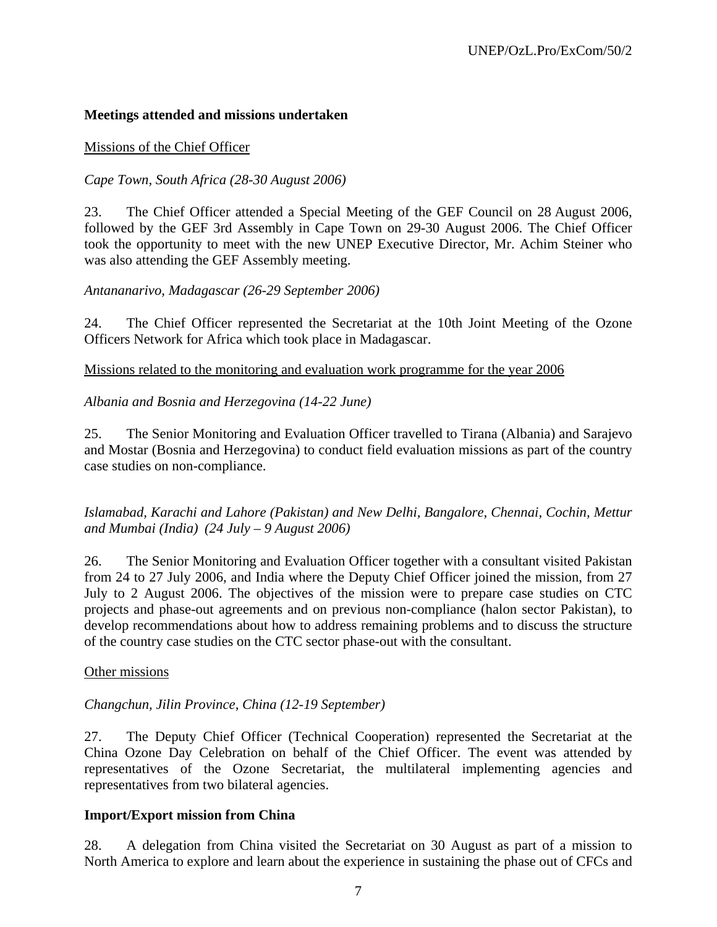## **Meetings attended and missions undertaken**

#### Missions of the Chief Officer

## *Cape Town, South Africa (28-30 August 2006)*

23. The Chief Officer attended a Special Meeting of the GEF Council on 28 August 2006, followed by the GEF 3rd Assembly in Cape Town on 29-30 August 2006. The Chief Officer took the opportunity to meet with the new UNEP Executive Director, Mr. Achim Steiner who was also attending the GEF Assembly meeting.

## *Antananarivo, Madagascar (26-29 September 2006)*

24. The Chief Officer represented the Secretariat at the 10th Joint Meeting of the Ozone Officers Network for Africa which took place in Madagascar.

Missions related to the monitoring and evaluation work programme for the year 2006

## *Albania and Bosnia and Herzegovina (14-22 June)*

25. The Senior Monitoring and Evaluation Officer travelled to Tirana (Albania) and Sarajevo and Mostar (Bosnia and Herzegovina) to conduct field evaluation missions as part of the country case studies on non-compliance.

*Islamabad, Karachi and Lahore (Pakistan) and New Delhi, Bangalore, Chennai, Cochin, Mettur and Mumbai (India) (24 July – 9 August 2006)*

26. The Senior Monitoring and Evaluation Officer together with a consultant visited Pakistan from 24 to 27 July 2006, and India where the Deputy Chief Officer joined the mission, from 27 July to 2 August 2006. The objectives of the mission were to prepare case studies on CTC projects and phase-out agreements and on previous non-compliance (halon sector Pakistan), to develop recommendations about how to address remaining problems and to discuss the structure of the country case studies on the CTC sector phase-out with the consultant.

#### Other missions

#### *Changchun, Jilin Province, China (12-19 September)*

27. The Deputy Chief Officer (Technical Cooperation) represented the Secretariat at the China Ozone Day Celebration on behalf of the Chief Officer. The event was attended by representatives of the Ozone Secretariat, the multilateral implementing agencies and representatives from two bilateral agencies.

#### **Import/Export mission from China**

28. A delegation from China visited the Secretariat on 30 August as part of a mission to North America to explore and learn about the experience in sustaining the phase out of CFCs and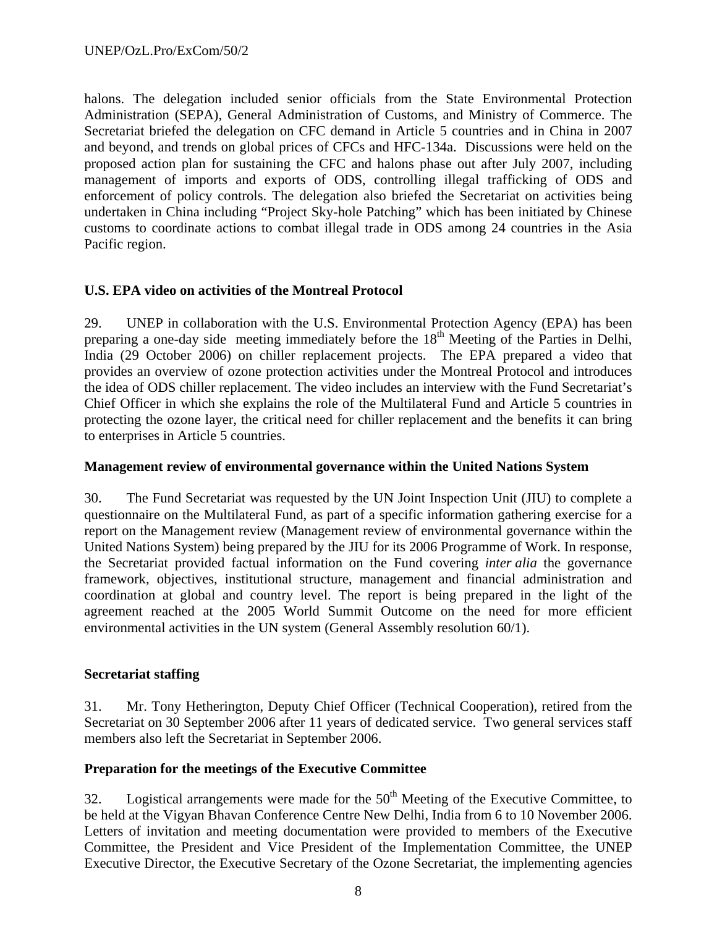halons. The delegation included senior officials from the State Environmental Protection Administration (SEPA), General Administration of Customs, and Ministry of Commerce. The Secretariat briefed the delegation on CFC demand in Article 5 countries and in China in 2007 and beyond, and trends on global prices of CFCs and HFC-134a. Discussions were held on the proposed action plan for sustaining the CFC and halons phase out after July 2007, including management of imports and exports of ODS, controlling illegal trafficking of ODS and enforcement of policy controls. The delegation also briefed the Secretariat on activities being undertaken in China including "Project Sky-hole Patching" which has been initiated by Chinese customs to coordinate actions to combat illegal trade in ODS among 24 countries in the Asia Pacific region.

## **U.S. EPA video on activities of the Montreal Protocol**

29. UNEP in collaboration with the U.S. Environmental Protection Agency (EPA) has been preparing a one-day side meeting immediately before the 18<sup>th</sup> Meeting of the Parties in Delhi, India (29 October 2006) on chiller replacement projects. The EPA prepared a video that provides an overview of ozone protection activities under the Montreal Protocol and introduces the idea of ODS chiller replacement. The video includes an interview with the Fund Secretariat's Chief Officer in which she explains the role of the Multilateral Fund and Article 5 countries in protecting the ozone layer, the critical need for chiller replacement and the benefits it can bring to enterprises in Article 5 countries.

#### **Management review of environmental governance within the United Nations System**

30. The Fund Secretariat was requested by the UN Joint Inspection Unit (JIU) to complete a questionnaire on the Multilateral Fund, as part of a specific information gathering exercise for a report on the Management review (Management review of environmental governance within the United Nations System) being prepared by the JIU for its 2006 Programme of Work. In response, the Secretariat provided factual information on the Fund covering *inter alia* the governance framework, objectives, institutional structure, management and financial administration and coordination at global and country level. The report is being prepared in the light of the agreement reached at the 2005 World Summit Outcome on the need for more efficient environmental activities in the UN system (General Assembly resolution 60/1).

## **Secretariat staffing**

31. Mr. Tony Hetherington, Deputy Chief Officer (Technical Cooperation), retired from the Secretariat on 30 September 2006 after 11 years of dedicated service. Two general services staff members also left the Secretariat in September 2006.

#### **Preparation for the meetings of the Executive Committee**

32. Logistical arrangements were made for the  $50<sup>th</sup>$  Meeting of the Executive Committee, to be held at the Vigyan Bhavan Conference Centre New Delhi, India from 6 to 10 November 2006. Letters of invitation and meeting documentation were provided to members of the Executive Committee, the President and Vice President of the Implementation Committee*,* the UNEP Executive Director, the Executive Secretary of the Ozone Secretariat, the implementing agencies